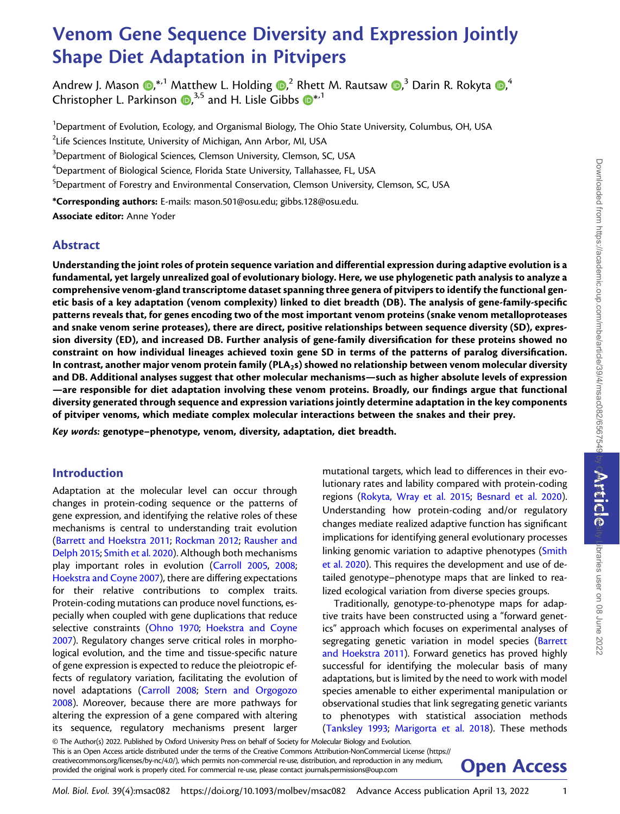# Venom Gene Sequence Diversity and Expression Jointly Shape Diet Adaptation in Pitvipers

Andrew J. Mason  $\bm{\mathbb{D}}^{*,1}$  $\bm{\mathbb{D}}^{*,1}$  $\bm{\mathbb{D}}^{*,1}$  Matthew L. Holding  $\bm{\mathbb{D}}^{,2}$  Rhett M. Rautsaw  $\bm{\mathbb{D}}^{,3}$  Darin R. Rokyta  $\bm{\mathbb{D}}^{,4}$ Christopher L. Parkinson  $\bm{\mathbb{D}}^{3,5}$  $\bm{\mathbb{D}}^{3,5}$  $\bm{\mathbb{D}}^{3,5}$  and H. Lisle Gibbs  $\bm{\mathbb{D}}^{*,1}$ 

<sup>1</sup>Department of Evolution, Ecology, and Organismal Biology, The Ohio State University, Columbus, OH, USA

 $^2$ Life Sciences Institute, University of Michigan, Ann Arbor, MI, USA

 $^3$ Department of Biological Sciences, Clemson University, Clemson, SC, USA

 $^4$ Department of Biological Science, Florida State University, Tallahassee, FL, USA

 $^5$ Department of Forestry and Environmental Conservation, Clemson University, Clemson, SC, USA

\*Corresponding authors: E-mails: [mason.501@osu.edu;](mailto:mason.501@osu.edu) [gibbs.128@osu.edu.](mailto:gibbs.128@osu.edu)

Associate editor: Anne Yoder

# Abstract

Understanding the joint roles of protein sequence variation and differential expression during adaptive evolution is a fundamental, yet largely unrealized goal of evolutionary biology. Here, we use phylogenetic path analysis to analyze a comprehensive venom-gland transcriptome dataset spanning three genera of pitvipers to identify the functional genetic basis of a key adaptation (venom complexity) linked to diet breadth (DB). The analysis of gene-family-specific patterns reveals that, for genes encoding two of the most important venom proteins (snake venom metalloproteases and snake venom serine proteases), there are direct, positive relationships between sequence diversity (SD), expression diversity (ED), and increased DB. Further analysis of gene-family diversification for these proteins showed no constraint on how individual lineages achieved toxin gene SD in terms of the patterns of paralog diversification. In contrast, another major venom protein family (PLA<sub>25</sub>) showed no relationship between venom molecular diversity and DB. Additional analyses suggest that other molecular mechanisms—such as higher absolute levels of expression —are responsible for diet adaptation involving these venom proteins. Broadly, our findings argue that functional diversity generated through sequence and expression variations jointly determine adaptation in the key components of pitviper venoms, which mediate complex molecular interactions between the snakes and their prey.

Key words: genotype–phenotype, venom, diversity, adaptation, diet breadth.

# Introduction

Adaptation at the molecular level can occur through changes in protein-coding sequence or the patterns of gene expression, and identifying the relative roles of these mechanisms is central to understanding trait evolution ([Barrett and Hoekstra 2011](#page-11-0); [Rockman 2012](#page-12-0); [Rausher and](#page-12-0) [Delph 2015](#page-12-0); [Smith et al. 2020](#page-12-0)). Although both mechanisms play important roles in evolution ([Carroll 2005](#page-11-0), [2008;](#page-11-0) [Hoekstra and Coyne 2007](#page-11-0)), there are differing expectations for their relative contributions to complex traits. Protein-coding mutations can produce novel functions, especially when coupled with gene duplications that reduce selective constraints [\(Ohno 1970](#page-12-0); [Hoekstra and Coyne](#page-11-0) [2007\)](#page-11-0). Regulatory changes serve critical roles in morphological evolution, and the time and tissue-specific nature of gene expression is expected to reduce the pleiotropic effects of regulatory variation, facilitating the evolution of novel adaptations ([Carroll 2008;](#page-11-0) [Stern and Orgogozo](#page-12-0) [2008\)](#page-12-0). Moreover, because there are more pathways for altering the expression of a gene compared with altering its sequence, regulatory mechanisms present larger

mutational targets, which lead to differences in their evolutionary rates and lability compared with protein-coding regions ([Rokyta, Wray et al. 2015;](#page-12-0) [Besnard et al. 2020\)](#page-11-0). Understanding how protein-coding and/or regulatory changes mediate realized adaptive function has significant implications for identifying general evolutionary processes linking genomic variation to adaptive phenotypes ([Smith](#page-12-0) [et al. 2020](#page-12-0)). This requires the development and use of detailed genotype–phenotype maps that are linked to realized ecological variation from diverse species groups.

Traditionally, genotype-to-phenotype maps for adaptive traits have been constructed using a "forward genetics" approach which focuses on experimental analyses of segregating genetic variation in model species ([Barrett](#page-11-0) [and Hoekstra 2011](#page-11-0)). Forward genetics has proved highly successful for identifying the molecular basis of many adaptations, but is limited by the need to work with model species amenable to either experimental manipulation or observational studies that link segregating genetic variants to phenotypes with statistical association methods [\(Tanksley 1993;](#page-12-0) [Marigorta et al. 2018](#page-12-0)). These methods

© The Author(s) 2022. Published by Oxford University Press on behalf of Society for Molecular Biology and Evolution. This is an Open Access article distributed under the terms of the Creative Commons Attribution-NonCommercial License [\(https://](https://creativecommons.org/licenses/by-nc/4.0/) [creativecommons.org/licenses/by-nc/4.0/](https://creativecommons.org/licenses/by-nc/4.0/)), which permits non-commercial re-use, distribution, and reproduction in any medium, **Open Access**<br>provided the original work is properly cited. For commercial re-use, please contact

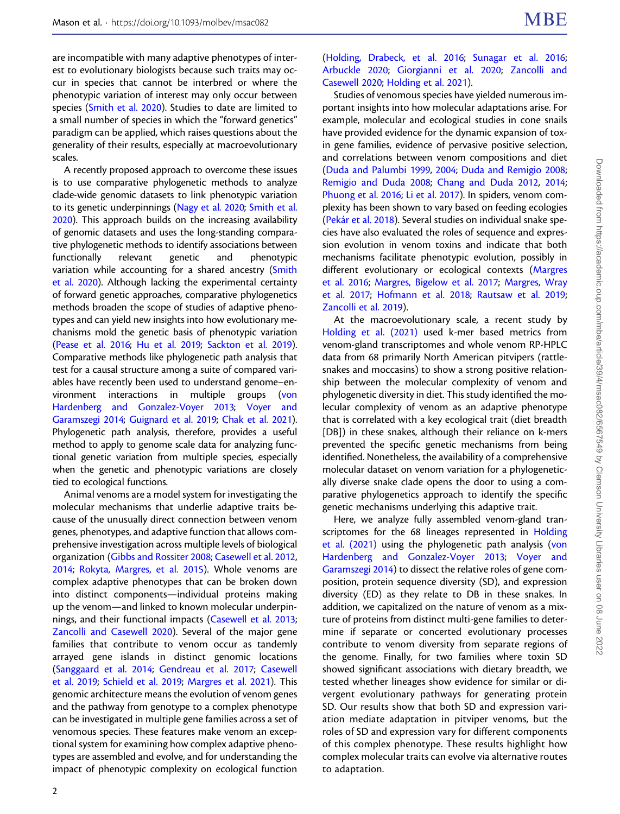are incompatible with many adaptive phenotypes of interest to evolutionary biologists because such traits may occur in species that cannot be interbred or where the phenotypic variation of interest may only occur between species [\(Smith et al. 2020](#page-12-0)). Studies to date are limited to a small number of species in which the "forward genetics" paradigm can be applied, which raises questions about the generality of their results, especially at macroevolutionary scales.

A recently proposed approach to overcome these issues is to use comparative phylogenetic methods to analyze clade-wide genomic datasets to link phenotypic variation to its genetic underpinnings [\(Nagy et al. 2020;](#page-12-0) [Smith et al.](#page-12-0) [2020](#page-12-0)). This approach builds on the increasing availability of genomic datasets and uses the long-standing comparative phylogenetic methods to identify associations between functionally relevant genetic and phenotypic variation while accounting for a shared ancestry [\(Smith](#page-12-0) [et al. 2020\)](#page-12-0). Although lacking the experimental certainty of forward genetic approaches, comparative phylogenetics methods broaden the scope of studies of adaptive phenotypes and can yield new insights into how evolutionary mechanisms mold the genetic basis of phenotypic variation ([Pease et al. 2016;](#page-12-0) [Hu et al. 2019;](#page-11-0) [Sackton et al. 2019](#page-12-0)). Comparative methods like phylogenetic path analysis that test for a causal structure among a suite of compared variables have recently been used to understand genome–environment interactions in multiple groups ([von](#page-13-0) [Hardenberg and Gonzalez-Voyer 2013;](#page-13-0) [Voyer and](#page-13-0) [Garamszegi 2014;](#page-13-0) [Guignard et al. 2019](#page-11-0); [Chak et al. 2021](#page-11-0)). Phylogenetic path analysis, therefore, provides a useful method to apply to genome scale data for analyzing functional genetic variation from multiple species, especially when the genetic and phenotypic variations are closely tied to ecological functions.

Animal venoms are a model system for investigating the molecular mechanisms that underlie adaptive traits because of the unusually direct connection between venom genes, phenotypes, and adaptive function that allows comprehensive investigation across multiple levels of biological organization [\(Gibbs and Rossiter 2008;](#page-11-0) [Casewell et al. 2012,](#page-11-0) [2014;](#page-11-0) [Rokyta, Margres, et al. 2015\)](#page-12-0). Whole venoms are complex adaptive phenotypes that can be broken down into distinct components—individual proteins making up the venom—and linked to known molecular underpinnings, and their functional impacts [\(Casewell et al. 2013;](#page-11-0) [Zancolli and Casewell 2020\)](#page-13-0). Several of the major gene families that contribute to venom occur as tandemly arrayed gene islands in distinct genomic locations ([Sanggaard et al. 2014](#page-12-0); [Gendreau et al. 2017;](#page-11-0) [Casewell](#page-11-0) [et al. 2019;](#page-11-0) [Schield et al. 2019;](#page-12-0) [Margres et al. 2021\)](#page-12-0). This genomic architecture means the evolution of venom genes and the pathway from genotype to a complex phenotype can be investigated in multiple gene families across a set of venomous species. These features make venom an exceptional system for examining how complex adaptive phenotypes are assembled and evolve, and for understanding the impact of phenotypic complexity on ecological function

## [\(Holding, Drabeck, et al. 2016;](#page-11-0) [Sunagar et al. 2016](#page-12-0); [Arbuckle 2020;](#page-10-0) [Giorgianni et al. 2020](#page-11-0); [Zancolli and](#page-13-0) [Casewell 2020;](#page-13-0) [Holding et al. 2021\)](#page-11-0).

Studies of venomous species have yielded numerous important insights into how molecular adaptations arise. For example, molecular and ecological studies in cone snails have provided evidence for the dynamic expansion of toxin gene families, evidence of pervasive positive selection, and correlations between venom compositions and diet [\(Duda and Palumbi 1999](#page-11-0), [2004](#page-11-0); [Duda and Remigio 2008](#page-11-0); [Remigio and Duda 2008;](#page-12-0) [Chang and Duda 2012](#page-11-0), [2014](#page-11-0); [Phuong et al. 2016](#page-12-0); [Li et al. 2017](#page-12-0)). In spiders, venom complexity has been shown to vary based on feeding ecologies [\(Pekár et al. 2018\)](#page-12-0). Several studies on individual snake species have also evaluated the roles of sequence and expression evolution in venom toxins and indicate that both mechanisms facilitate phenotypic evolution, possibly in different evolutionary or ecological contexts [\(Margres](#page-12-0) [et al. 2016](#page-12-0); [Margres, Bigelow et al. 2017;](#page-12-0) [Margres, Wray](#page-12-0) [et al. 2017;](#page-12-0) [Hofmann et al. 2018;](#page-11-0) [Rautsaw et al. 2019](#page-12-0); [Zancolli et al. 2019\)](#page-13-0).

At the macroevolutionary scale, a recent study by [Holding et al. \(2021\)](#page-11-0) used k-mer based metrics from venom-gland transcriptomes and whole venom RP-HPLC data from 68 primarily North American pitvipers (rattlesnakes and moccasins) to show a strong positive relationship between the molecular complexity of venom and phylogenetic diversity in diet. This study identified the molecular complexity of venom as an adaptive phenotype that is correlated with a key ecological trait (diet breadth [DB]) in these snakes, although their reliance on k-mers prevented the specific genetic mechanisms from being identified. Nonetheless, the availability of a comprehensive molecular dataset on venom variation for a phylogenetically diverse snake clade opens the door to using a comparative phylogenetics approach to identify the specific genetic mechanisms underlying this adaptive trait.

Here, we analyze fully assembled venom-gland tran-scriptomes for the 68 lineages represented in [Holding](#page-11-0) [et al. \(2021\)](#page-11-0) using the phylogenetic path analysis ([von](#page-13-0) [Hardenberg and Gonzalez-Voyer 2013;](#page-13-0) [Voyer and](#page-13-0) [Garamszegi 2014\)](#page-13-0) to dissect the relative roles of gene composition, protein sequence diversity (SD), and expression diversity (ED) as they relate to DB in these snakes. In addition, we capitalized on the nature of venom as a mixture of proteins from distinct multi-gene families to determine if separate or concerted evolutionary processes contribute to venom diversity from separate regions of the genome. Finally, for two families where toxin SD showed significant associations with dietary breadth, we tested whether lineages show evidence for similar or divergent evolutionary pathways for generating protein SD. Our results show that both SD and expression variation mediate adaptation in pitviper venoms, but the roles of SD and expression vary for different components of this complex phenotype. These results highlight how complex molecular traits can evolve via alternative routes to adaptation.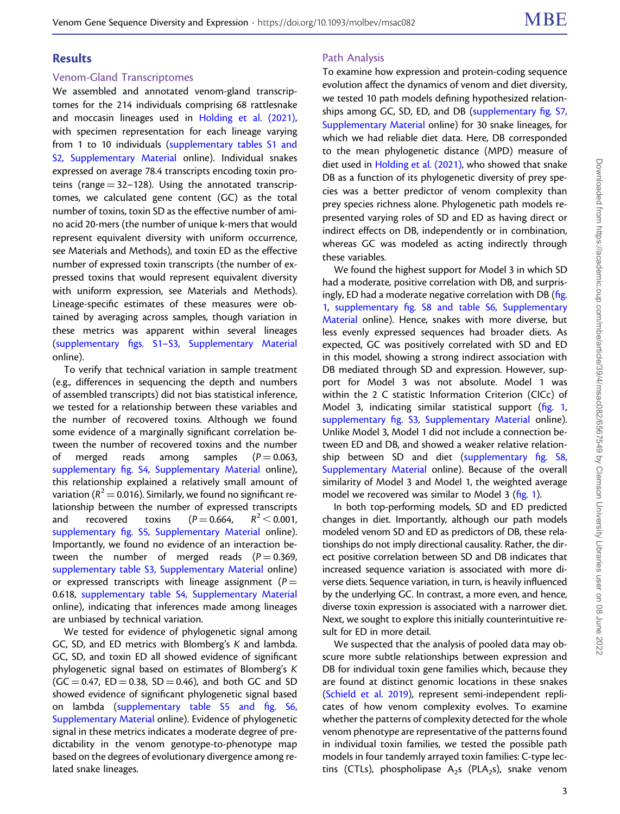# Results

### Venom-Gland Transcriptomes

We assembled and annotated venom-gland transcriptomes for the 214 individuals comprising 68 rattlesnake and moccasin lineages used in [Holding et al. \(2021\),](#page-11-0) with specimen representation for each lineage varying from 1 to 10 individuals ([supplementary tables S1 and](http://academic.oup.com/molbev/article-lookup/doi/10.1093/molbev/msac082#supplementary-data) [S2, Supplementary Material](http://academic.oup.com/molbev/article-lookup/doi/10.1093/molbev/msac082#supplementary-data) online). Individual snakes expressed on average 78.4 transcripts encoding toxin proteins (range  $= 32-128$ ). Using the annotated transcriptomes, we calculated gene content (GC) as the total number of toxins, toxin SD as the effective number of amino acid 20-mers (the number of unique k-mers that would represent equivalent diversity with uniform occurrence, see Materials and Methods), and toxin ED as the effective number of expressed toxin transcripts (the number of expressed toxins that would represent equivalent diversity with uniform expression, see Materials and Methods). Lineage-specific estimates of these measures were obtained by averaging across samples, though variation in these metrics was apparent within several lineages (supplementary figs. S1–[S3, Supplementary Material](http://academic.oup.com/molbev/article-lookup/doi/10.1093/molbev/msac082#supplementary-data) online).

To verify that technical variation in sample treatment (e.g., differences in sequencing the depth and numbers of assembled transcripts) did not bias statistical inference, we tested for a relationship between these variables and the number of recovered toxins. Although we found some evidence of a marginally significant correlation between the number of recovered toxins and the number of merged reads among samples  $(P = 0.063,$ supplementary fi[g. S4, Supplementary Material](http://academic.oup.com/molbev/article-lookup/doi/10.1093/molbev/msac082#supplementary-data) online), this relationship explained a relatively small amount of variation ( $R^2$  = 0.016). Similarly, we found no significant relationship between the number of expressed transcripts and recovered toxins  $(P=0.664, R^2 < 0.001,$ supplementary fi[g. S5, Supplementary Material](http://academic.oup.com/molbev/article-lookup/doi/10.1093/molbev/msac082#supplementary-data) online). Importantly, we found no evidence of an interaction between the number of merged reads ( $P = 0.369$ , [supplementary table S3, Supplementary Material](http://academic.oup.com/molbev/article-lookup/doi/10.1093/molbev/msac082#supplementary-data) online) or expressed transcripts with lineage assignment ( $P =$ 0.618, [supplementary table S4, Supplementary Material](http://academic.oup.com/molbev/article-lookup/doi/10.1093/molbev/msac082#supplementary-data) online), indicating that inferences made among lineages are unbiased by technical variation.

We tested for evidence of phylogenetic signal among GC, SD, and ED metrics with Blomberg's K and lambda. GC, SD, and toxin ED all showed evidence of significant phylogenetic signal based on estimates of Blomberg's K  $(GC = 0.47, ED = 0.38, SD = 0.46)$ , and both GC and SD showed evidence of significant phylogenetic signal based on lambda ([supplementary table S5 and](http://academic.oup.com/molbev/article-lookup/doi/10.1093/molbev/msac082#supplementary-data) fig. S6, [Supplementary Material](http://academic.oup.com/molbev/article-lookup/doi/10.1093/molbev/msac082#supplementary-data) online). Evidence of phylogenetic signal in these metrics indicates a moderate degree of predictability in the venom genotype-to-phenotype map based on the degrees of evolutionary divergence among related snake lineages.

## Path Analysis

To examine how expression and protein-coding sequence evolution affect the dynamics of venom and diet diversity, we tested 10 path models defining hypothesized relationships among GC, SD, ED, and DB [\(supplementary](http://academic.oup.com/molbev/article-lookup/doi/10.1093/molbev/msac082#supplementary-data) fig. S7, [Supplementary Material](http://academic.oup.com/molbev/article-lookup/doi/10.1093/molbev/msac082#supplementary-data) online) for 30 snake lineages, for which we had reliable diet data. Here, DB corresponded to the mean phylogenetic distance (MPD) measure of diet used in [Holding et al. \(2021\),](#page-11-0) who showed that snake DB as a function of its phylogenetic diversity of prey species was a better predictor of venom complexity than prey species richness alone. Phylogenetic path models represented varying roles of SD and ED as having direct or indirect effects on DB, independently or in combination, whereas GC was modeled as acting indirectly through these variables.

We found the highest support for Model 3 in which SD had a moderate, positive correlation with DB, and surprisingly, ED had a moderate negative correlation with DB (fi[g.](#page-3-0) [1,](#page-3-0) supplementary fi[g. S8 and table S6, Supplementary](http://academic.oup.com/molbev/article-lookup/doi/10.1093/molbev/msac082#supplementary-data) [Material](http://academic.oup.com/molbev/article-lookup/doi/10.1093/molbev/msac082#supplementary-data) online). Hence, snakes with more diverse, but less evenly expressed sequences had broader diets. As expected, GC was positively correlated with SD and ED in this model, showing a strong indirect association with DB mediated through SD and expression. However, support for Model 3 was not absolute. Model 1 was within the 2 C statistic Information Criterion (CICc) of Model 3, indicating similar statistical support (fi[g. 1](#page-3-0), supplementary fi[g. S3, Supplementary Material](http://academic.oup.com/molbev/article-lookup/doi/10.1093/molbev/msac082#supplementary-data) online). Unlike Model 3, Model 1 did not include a connection between ED and DB, and showed a weaker relative relationship between SD and diet ([supplementary](http://academic.oup.com/molbev/article-lookup/doi/10.1093/molbev/msac082#supplementary-data) fig. S8, [Supplementary Material](http://academic.oup.com/molbev/article-lookup/doi/10.1093/molbev/msac082#supplementary-data) online). Because of the overall similarity of Model 3 and Model 1, the weighted average model we recovered was similar to Model 3 (fi[g. 1](#page-3-0)).

In both top-performing models, SD and ED predicted changes in diet. Importantly, although our path models modeled venom SD and ED as predictors of DB, these relationships do not imply directional causality. Rather, the direct positive correlation between SD and DB indicates that increased sequence variation is associated with more diverse diets. Sequence variation, in turn, is heavily influenced by the underlying GC. In contrast, a more even, and hence, diverse toxin expression is associated with a narrower diet. Next, we sought to explore this initially counterintuitive result for ED in more detail.

We suspected that the analysis of pooled data may obscure more subtle relationships between expression and DB for individual toxin gene families which, because they are found at distinct genomic locations in these snakes [\(Schield et al. 2019](#page-12-0)), represent semi-independent replicates of how venom complexity evolves. To examine whether the patterns of complexity detected for the whole venom phenotype are representative of the patterns found in individual toxin families, we tested the possible path models in four tandemly arrayed toxin families: C-type lectins (CTLs), phospholipase  $A_2$ s (PLA<sub>2</sub>s), snake venom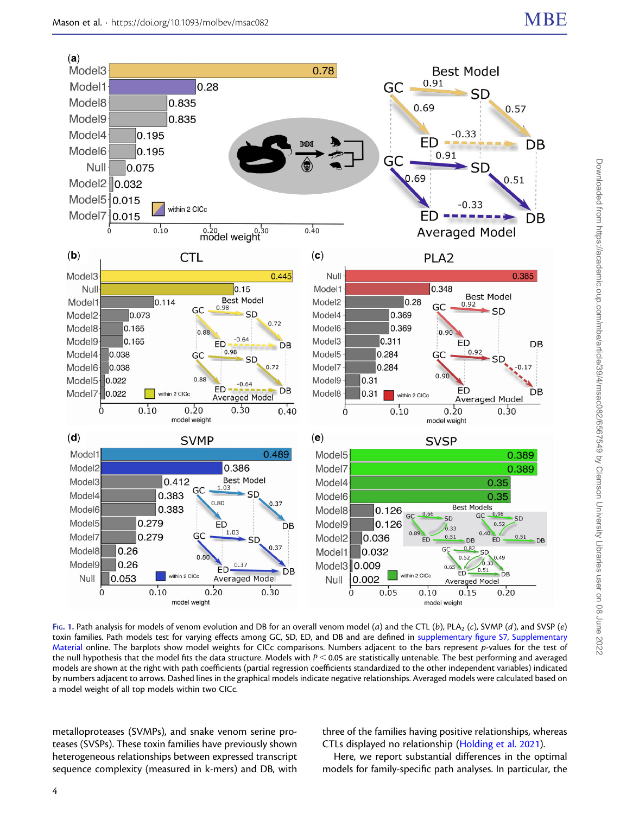<span id="page-3-0"></span>

Fig. 1. Path analysis for models of venom evolution and DB for an overall venom model (a) and the CTL (b), PLA<sub>2</sub> (c), SVMP (d), and SVSP (e) toxin families. Path models test for varying effects among GC, SD, ED, and DB and are defined in supplementary fi[gure S7, Supplementary](http://academic.oup.com/molbev/article-lookup/doi/10.1093/molbev/msac082#supplementary-data) [Material](http://academic.oup.com/molbev/article-lookup/doi/10.1093/molbev/msac082#supplementary-data) online. The barplots show model weights for CICc comparisons. Numbers adjacent to the bars represent p-values for the test of the null hypothesis that the model fits the data structure. Models with  $P < 0.05$  are statistically untenable. The best performing and averaged models are shown at the right with path coefficients (partial regression coefficients standardized to the other independent variables) indicated by numbers adjacent to arrows. Dashed lines in the graphical models indicate negative relationships. Averaged models were calculated based on a model weight of all top models within two CICc.

metalloproteases (SVMPs), and snake venom serine proteases (SVSPs). These toxin families have previously shown heterogeneous relationships between expressed transcript sequence complexity (measured in k-mers) and DB, with three of the families having positive relationships, whereas CTLs displayed no relationship [\(Holding et al. 2021\)](#page-11-0).

Here, we report substantial differences in the optimal models for family-specific path analyses. In particular, the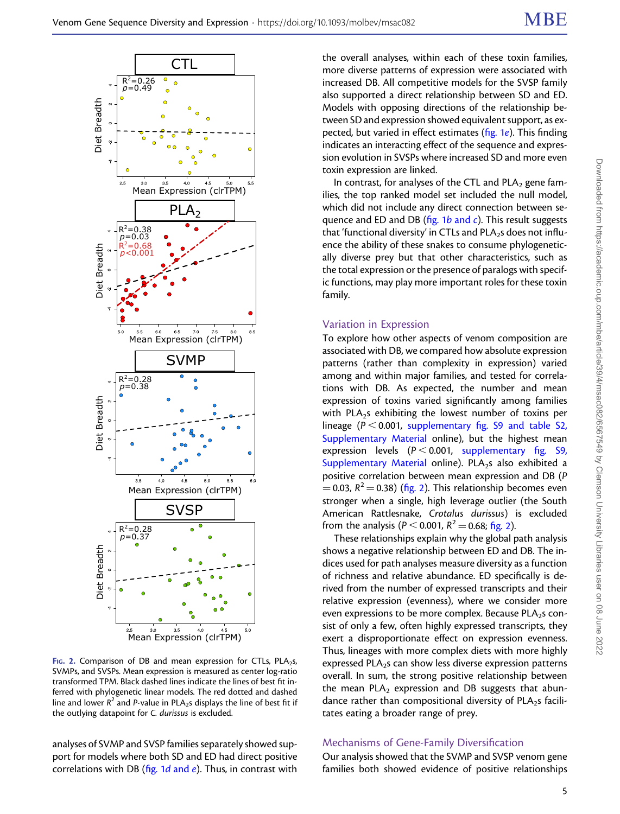

FIG. 2. Comparison of DB and mean expression for CTLs, PLA<sub>2</sub>s, SVMPs, and SVSPs. Mean expression is measured as center log-ratio transformed TPM. Black dashed lines indicate the lines of best fit inferred with phylogenetic linear models. The red dotted and dashed line and lower  $R^2$  and P-value in PLA<sub>2</sub>s displays the line of best fit if the outlying datapoint for C. durissus is excluded.

analyses of SVMP and SVSP families separately showed support for models where both SD and ED had direct positive correlations with DB (fig.  $1d$  [and](#page-3-0)  $e$ ). Thus, in contrast with the overall analyses, within each of these toxin families, more diverse patterns of expression were associated with increased DB. All competitive models for the SVSP family also supported a direct relationship between SD and ED. Models with opposing directions of the relationship between SD and expression showed equivalent support, as expected, but varied in effect estimates (fi[g. 1](#page-3-0)e). This finding indicates an interacting effect of the sequence and expression evolution in SVSPs where increased SD and more even toxin expression are linked.

In contrast, for analyses of the CTL and PLA<sub>2</sub> gene families, the top ranked model set included the null model, which did not include any direct connection between sequence [and](#page-3-0) ED and DB ( $fig. 1b$  and c). This result suggests that 'functional diversity' in CTLs and PLA<sub>2</sub>s does not influence the ability of these snakes to consume phylogenetically diverse prey but that other characteristics, such as the total expression or the presence of paralogs with specific functions, may play more important roles for these toxin family.

#### Variation in Expression

To explore how other aspects of venom composition are associated with DB, we compared how absolute expression patterns (rather than complexity in expression) varied among and within major families, and tested for correlations with DB. As expected, the number and mean expression of toxins varied significantly among families with PLA<sub>2</sub>s exhibiting the lowest number of toxins per lineage ( $P < 0.001$ , supplementary fi[g. S9 and table S2,](http://academic.oup.com/molbev/article-lookup/doi/10.1093/molbev/msac082#supplementary-data) [Supplementary Material](http://academic.oup.com/molbev/article-lookup/doi/10.1093/molbev/msac082#supplementary-data) online), but the highest mean expression levels ( $P < 0.001$ , [supplementary](http://academic.oup.com/molbev/article-lookup/doi/10.1093/molbev/msac082#supplementary-data) fig. S9, [Supplementary Material](http://academic.oup.com/molbev/article-lookup/doi/10.1093/molbev/msac082#supplementary-data) online). PLA<sub>2</sub>s also exhibited a positive correlation between mean expression and DB (P  $= 0.03$ ,  $R^2 = 0.38$ ) (fig. 2). This relationship becomes even stronger when a single, high leverage outlier (the South American Rattlesnake, Crotalus durissus) is excluded from the analysis ( $P < 0.001$ ,  $R^2 = 0.68$ ; fig. 2).

These relationships explain why the global path analysis shows a negative relationship between ED and DB. The indices used for path analyses measure diversity as a function of richness and relative abundance. ED specifically is derived from the number of expressed transcripts and their relative expression (evenness), where we consider more even expressions to be more complex. Because PLA<sub>2</sub>s consist of only a few, often highly expressed transcripts, they exert a disproportionate effect on expression evenness. Thus, lineages with more complex diets with more highly expressed PLA<sub>2</sub>s can show less diverse expression patterns overall. In sum, the strong positive relationship between the mean  $PLA_2$  expression and DB suggests that abundance rather than compositional diversity of  $PLA_2$ s facilitates eating a broader range of prey.

#### Mechanisms of Gene-Family Diversification

Our analysis showed that the SVMP and SVSP venom gene families both showed evidence of positive relationships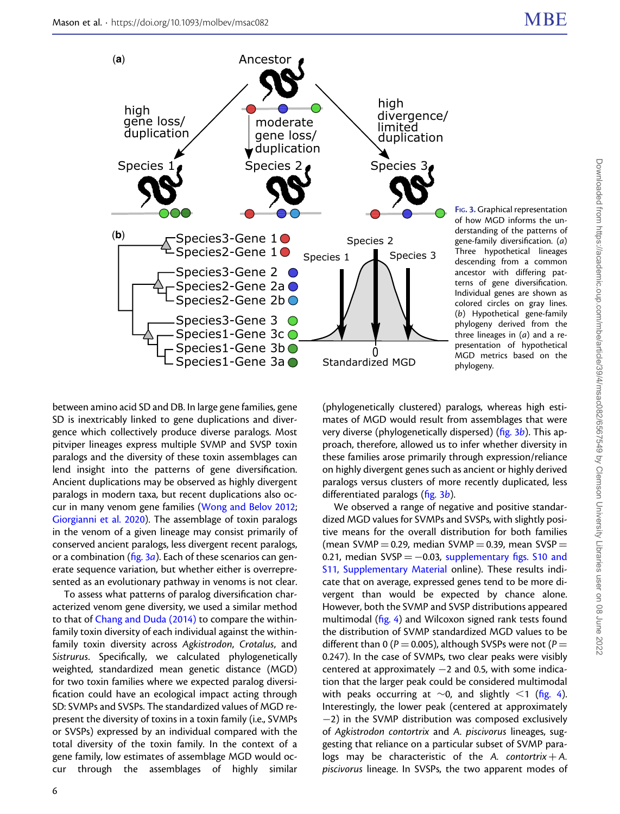

FIG. 3. Graphical representation of how MGD informs the understanding of the patterns of gene-family diversification. (a) Three hypothetical lineages descending from a common ancestor with differing patterns of gene diversification. Individual genes are shown as colored circles on gray lines. (b) Hypothetical gene-family phylogeny derived from the three lineages in  $(a)$  and a representation of hypothetical MGD metrics based on the phylogeny.

between amino acid SD and DB. In large gene families, gene SD is inextricably linked to gene duplications and divergence which collectively produce diverse paralogs. Most pitviper lineages express multiple SVMP and SVSP toxin paralogs and the diversity of these toxin assemblages can lend insight into the patterns of gene diversification. Ancient duplications may be observed as highly divergent paralogs in modern taxa, but recent duplications also occur in many venom gene families [\(Wong and Belov 2012;](#page-13-0) [Giorgianni et al. 2020](#page-11-0)). The assemblage of toxin paralogs in the venom of a given lineage may consist primarily of conserved ancient paralogs, less divergent recent paralogs, or a combination ( $fig. 3a$ ). Each of these scenarios can generate sequence variation, but whether either is overrepresented as an evolutionary pathway in venoms is not clear.

To assess what patterns of paralog diversification characterized venom gene diversity, we used a similar method to that of [Chang and Duda \(2014\)](#page-11-0) to compare the withinfamily toxin diversity of each individual against the withinfamily toxin diversity across Agkistrodon, Crotalus, and Sistrurus. Specifically, we calculated phylogenetically weighted, standardized mean genetic distance (MGD) for two toxin families where we expected paralog diversification could have an ecological impact acting through SD: SVMPs and SVSPs. The standardized values of MGD represent the diversity of toxins in a toxin family (i.e., SVMPs or SVSPs) expressed by an individual compared with the total diversity of the toxin family. In the context of a gene family, low estimates of assemblage MGD would occur through the assemblages of highly similar

(phylogenetically clustered) paralogs, whereas high estimates of MGD would result from assemblages that were very diverse (phylogenetically dispersed) ( $\frac{f}{g}$ . 3b). This approach, therefore, allowed us to infer whether diversity in these families arose primarily through expression/reliance on highly divergent genes such as ancient or highly derived paralogs versus clusters of more recently duplicated, less differentiated paralogs (fig. 3b).

We observed a range of negative and positive standardized MGD values for SVMPs and SVSPs, with slightly positive means for the overall distribution for both families (mean SVMP  $=$  0.29, median SVMP  $=$  0.39, mean SVSP  $=$ 0.21, median  $SVSP = -0.03$ , [supplementary](http://academic.oup.com/molbev/article-lookup/doi/10.1093/molbev/msac082#supplementary-data) figs. S10 and [S11, Supplementary Material](http://academic.oup.com/molbev/article-lookup/doi/10.1093/molbev/msac082#supplementary-data) online). These results indicate that on average, expressed genes tend to be more divergent than would be expected by chance alone. However, both the SVMP and SVSP distributions appeared multimodal (fi[g. 4](#page-6-0)) and Wilcoxon signed rank tests found the distribution of SVMP standardized MGD values to be different than 0 ( $P = 0.005$ ), although SVSPs were not ( $P =$ 0.247). In the case of SVMPs, two clear peaks were visibly centered at approximately  $-2$  and 0.5, with some indication that the larger peak could be considered multimodal with peaks occurring at  $\sim$ 0, and slightly <1 (fi[g. 4\)](#page-6-0). Interestingly, the lower peak (centered at approximately −2) in the SVMP distribution was composed exclusively of Agkistrodon contortrix and A. piscivorus lineages, suggesting that reliance on a particular subset of SVMP paralogs may be characteristic of the A. contortrix  $+A$ . piscivorus lineage. In SVSPs, the two apparent modes of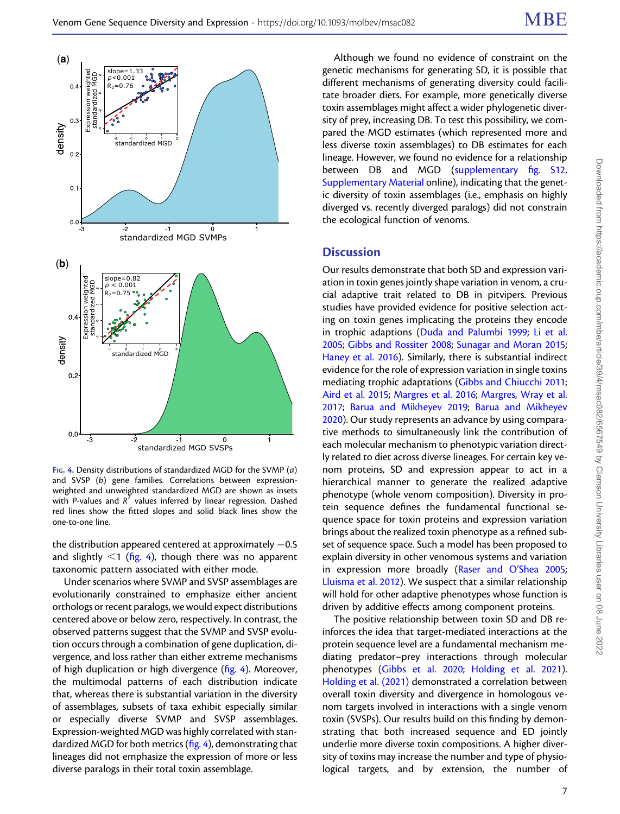<span id="page-6-0"></span>

FIG. 4. Density distributions of standardized MGD for the SVMP  $(a)$ and SVSP (b) gene families. Correlations between expressionweighted and unweighted standardized MGD are shown as insets with P-values and  $R^2$  values inferred by linear regression. Dashed red lines show the fitted slopes and solid black lines show the one-to-one line.

the distribution appeared centered at approximately  $-0.5$ and slightly  $<$ 1 (fig. 4), though there was no apparent taxonomic pattern associated with either mode.

Under scenarios where SVMP and SVSP assemblages are evolutionarily constrained to emphasize either ancient orthologs or recent paralogs, we would expect distributions centered above or below zero, respectively. In contrast, the observed patterns suggest that the SVMP and SVSP evolution occurs through a combination of gene duplication, divergence, and loss rather than either extreme mechanisms of high duplication or high divergence (fig. 4). Moreover, the multimodal patterns of each distribution indicate that, whereas there is substantial variation in the diversity of assemblages, subsets of taxa exhibit especially similar or especially diverse SVMP and SVSP assemblages. Expression-weighted MGD was highly correlated with standardized MGD for both metrics (fig. 4), demonstrating that lineages did not emphasize the expression of more or less diverse paralogs in their total toxin assemblage.

Although we found no evidence of constraint on the genetic mechanisms for generating SD, it is possible that different mechanisms of generating diversity could facilitate broader diets. For example, more genetically diverse toxin assemblages might affect a wider phylogenetic diversity of prey, increasing DB. To test this possibility, we compared the MGD estimates (which represented more and less diverse toxin assemblages) to DB estimates for each lineage. However, we found no evidence for a relationship between DB and MGD ([supplementary](http://academic.oup.com/molbev/article-lookup/doi/10.1093/molbev/msac082#supplementary-data) fig. S12, [Supplementary Material](http://academic.oup.com/molbev/article-lookup/doi/10.1093/molbev/msac082#supplementary-data) online), indicating that the genetic diversity of toxin assemblages (i.e., emphasis on highly diverged vs. recently diverged paralogs) did not constrain the ecological function of venoms.

#### **Discussion**

Our results demonstrate that both SD and expression variation in toxin genes jointly shape variation in venom, a crucial adaptive trait related to DB in pitvipers. Previous studies have provided evidence for positive selection acting on toxin genes implicating the proteins they encode in trophic adaptions ([Duda and Palumbi 1999;](#page-11-0) [Li et al.](#page-12-0) [2005](#page-12-0); [Gibbs and Rossiter 2008;](#page-11-0) [Sunagar and Moran 2015](#page-12-0); [Haney et al. 2016\)](#page-11-0). Similarly, there is substantial indirect evidence for the role of expression variation in single toxins mediating trophic adaptations ([Gibbs and Chiucchi 2011](#page-11-0); [Aird et al. 2015](#page-10-0); [Margres et al. 2016](#page-12-0); [Margres, Wray et al.](#page-12-0) [2017](#page-12-0); [Barua and Mikheyev 2019](#page-11-0); [Barua and Mikheyev](#page-11-0) [2020](#page-11-0)). Our study represents an advance by using comparative methods to simultaneously link the contribution of each molecular mechanism to phenotypic variation directly related to diet across diverse lineages. For certain key venom proteins, SD and expression appear to act in a hierarchical manner to generate the realized adaptive phenotype (whole venom composition). Diversity in protein sequence defines the fundamental functional sequence space for toxin proteins and expression variation brings about the realized toxin phenotype as a refined subset of sequence space. Such a model has been proposed to explain diversity in other venomous systems and variation in expression more broadly [\(Raser and O](#page-12-0)'Shea 2005; [Lluisma et al. 2012](#page-12-0)). We suspect that a similar relationship will hold for other adaptive phenotypes whose function is driven by additive effects among component proteins.

The positive relationship between toxin SD and DB reinforces the idea that target-mediated interactions at the protein sequence level are a fundamental mechanism mediating predator–prey interactions through molecular phenotypes ([Gibbs et al. 2020;](#page-11-0) [Holding et al. 2021\)](#page-11-0). [Holding et al. \(2021\)](#page-11-0) demonstrated a correlation between overall toxin diversity and divergence in homologous venom targets involved in interactions with a single venom toxin (SVSPs). Our results build on this finding by demonstrating that both increased sequence and ED jointly underlie more diverse toxin compositions. A higher diversity of toxins may increase the number and type of physiological targets, and by extension, the number of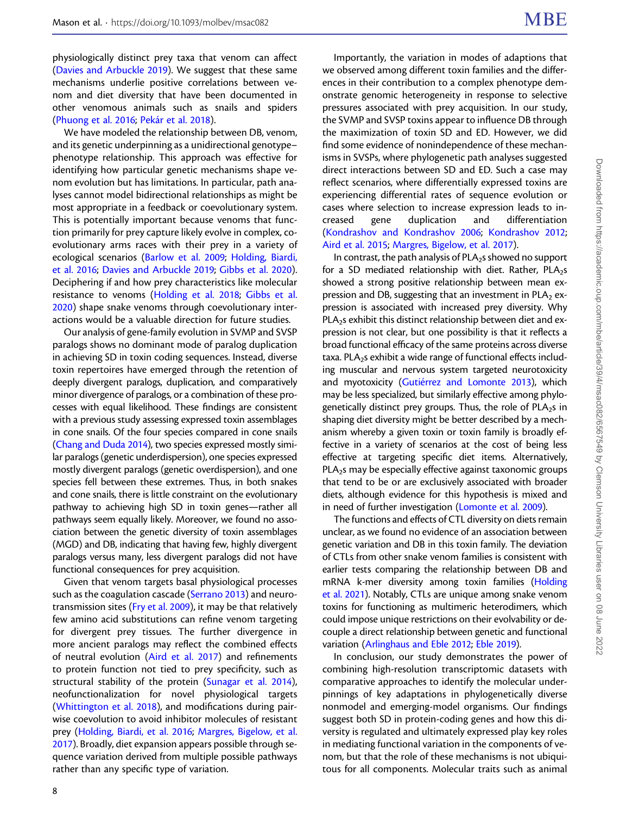physiologically distinct prey taxa that venom can affect ([Davies and Arbuckle 2019](#page-11-0)). We suggest that these same mechanisms underlie positive correlations between venom and diet diversity that have been documented in other venomous animals such as snails and spiders ([Phuong et al. 2016;](#page-12-0) [Pekár et al. 2018](#page-12-0)).

We have modeled the relationship between DB, venom, and its genetic underpinning as a unidirectional genotype– phenotype relationship. This approach was effective for identifying how particular genetic mechanisms shape venom evolution but has limitations. In particular, path analyses cannot model bidirectional relationships as might be most appropriate in a feedback or coevolutionary system. This is potentially important because venoms that function primarily for prey capture likely evolve in complex, coevolutionary arms races with their prey in a variety of ecological scenarios [\(Barlow et al. 2009](#page-11-0); [Holding, Biardi,](#page-11-0) [et al. 2016](#page-11-0); [Davies and Arbuckle 2019;](#page-11-0) [Gibbs et al. 2020](#page-11-0)). Deciphering if and how prey characteristics like molecular resistance to venoms ([Holding et al. 2018;](#page-11-0) [Gibbs et al.](#page-11-0) [2020\)](#page-11-0) shape snake venoms through coevolutionary interactions would be a valuable direction for future studies.

Our analysis of gene-family evolution in SVMP and SVSP paralogs shows no dominant mode of paralog duplication in achieving SD in toxin coding sequences. Instead, diverse toxin repertoires have emerged through the retention of deeply divergent paralogs, duplication, and comparatively minor divergence of paralogs, or a combination of these processes with equal likelihood. These findings are consistent with a previous study assessing expressed toxin assemblages in cone snails. Of the four species compared in cone snails ([Chang and Duda 2014\)](#page-11-0), two species expressed mostly similar paralogs (genetic underdispersion), one species expressed mostly divergent paralogs (genetic overdispersion), and one species fell between these extremes. Thus, in both snakes and cone snails, there is little constraint on the evolutionary pathway to achieving high SD in toxin genes—rather all pathways seem equally likely. Moreover, we found no association between the genetic diversity of toxin assemblages (MGD) and DB, indicating that having few, highly divergent paralogs versus many, less divergent paralogs did not have functional consequences for prey acquisition.

Given that venom targets basal physiological processes such as the coagulation cascade [\(Serrano 2013\)](#page-12-0) and neurotransmission sites [\(Fry et al. 2009\)](#page-11-0), it may be that relatively few amino acid substitutions can refine venom targeting for divergent prey tissues. The further divergence in more ancient paralogs may reflect the combined effects of neutral evolution ([Aird et al. 2017\)](#page-10-0) and refinements to protein function not tied to prey specificity, such as structural stability of the protein ([Sunagar et al. 2014](#page-12-0)), neofunctionalization for novel physiological targets ([Whittington et al. 2018\)](#page-13-0), and modifications during pairwise coevolution to avoid inhibitor molecules of resistant prey [\(Holding, Biardi, et al. 2016;](#page-11-0) [Margres, Bigelow, et al.](#page-12-0) [2017\)](#page-12-0). Broadly, diet expansion appears possible through sequence variation derived from multiple possible pathways rather than any specific type of variation.

Importantly, the variation in modes of adaptions that we observed among different toxin families and the differences in their contribution to a complex phenotype demonstrate genomic heterogeneity in response to selective pressures associated with prey acquisition. In our study, the SVMP and SVSP toxins appear to influence DB through the maximization of toxin SD and ED. However, we did find some evidence of nonindependence of these mechanisms in SVSPs, where phylogenetic path analyses suggested direct interactions between SD and ED. Such a case may reflect scenarios, where differentially expressed toxins are experiencing differential rates of sequence evolution or cases where selection to increase expression leads to in-<br>creased gene duplication and differentiation creased gene duplication and differentiation [\(Kondrashov and Kondrashov 2006](#page-12-0); [Kondrashov 2012](#page-12-0); [Aird et al. 2015](#page-10-0); [Margres, Bigelow, et al. 2017](#page-12-0)).

In contrast, the path analysis of  $PLA_2$ s showed no support for a SD mediated relationship with diet. Rather,  $PLA_2s$ showed a strong positive relationship between mean expression and DB, suggesting that an investment in  $PLA_2$  expression is associated with increased prey diversity. Why PLA<sub>2</sub>s exhibit this distinct relationship between diet and expression is not clear, but one possibility is that it reflects a broad functional efficacy of the same proteins across diverse taxa. PLA<sub>2</sub>s exhibit a wide range of functional effects including muscular and nervous system targeted neurotoxicity and myotoxicity [\(Gutiérrez and Lomonte 2013](#page-11-0)), which may be less specialized, but similarly effective among phylogenetically distinct prey groups. Thus, the role of PLA<sub>2</sub>s in shaping diet diversity might be better described by a mechanism whereby a given toxin or toxin family is broadly effective in a variety of scenarios at the cost of being less effective at targeting specific diet items. Alternatively,  $PLA<sub>2</sub>s$  may be especially effective against taxonomic groups that tend to be or are exclusively associated with broader diets, although evidence for this hypothesis is mixed and in need of further investigation ([Lomonte et al. 2009](#page-12-0)).

The functions and effects of CTL diversity on diets remain unclear, as we found no evidence of an association between genetic variation and DB in this toxin family. The deviation of CTLs from other snake venom families is consistent with earlier tests comparing the relationship between DB and mRNA k-mer diversity among toxin families [\(Holding](#page-11-0) [et al. 2021](#page-11-0)). Notably, CTLs are unique among snake venom toxins for functioning as multimeric heterodimers, which could impose unique restrictions on their evolvability or decouple a direct relationship between genetic and functional variation ([Arlinghaus and Eble 2012;](#page-10-0) [Eble 2019\)](#page-11-0).

In conclusion, our study demonstrates the power of combining high-resolution transcriptomic datasets with comparative approaches to identify the molecular underpinnings of key adaptations in phylogenetically diverse nonmodel and emerging-model organisms. Our findings suggest both SD in protein-coding genes and how this diversity is regulated and ultimately expressed play key roles in mediating functional variation in the components of venom, but that the role of these mechanisms is not ubiquitous for all components. Molecular traits such as animal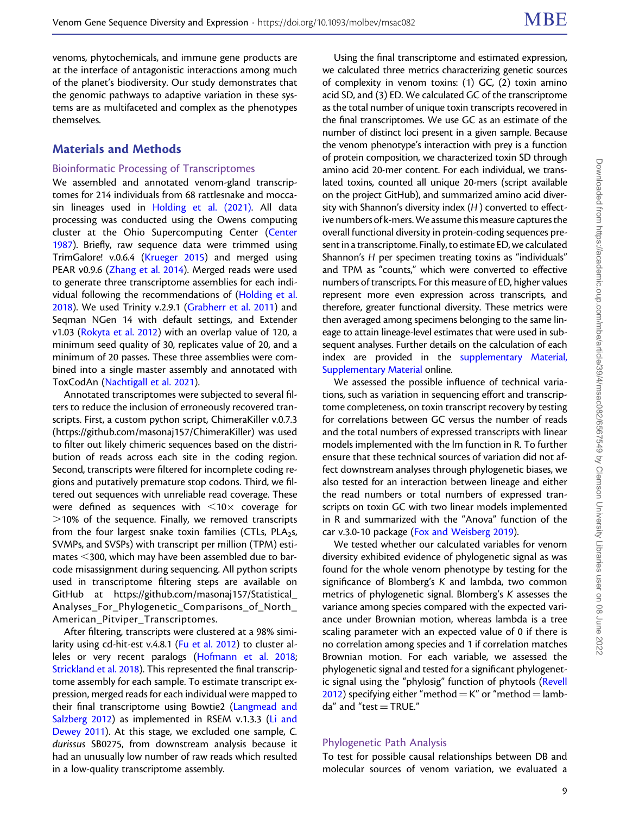venoms, phytochemicals, and immune gene products are at the interface of antagonistic interactions among much of the planet's biodiversity. Our study demonstrates that the genomic pathways to adaptive variation in these systems are as multifaceted and complex as the phenotypes themselves.

## Materials and Methods

#### Bioinformatic Processing of Transcriptomes

We assembled and annotated venom-gland transcriptomes for 214 individuals from 68 rattlesnake and moccasin lineages used in [Holding et al. \(2021\)](#page-11-0). All data processing was conducted using the Owens computing cluster at the Ohio Supercomputing Center [\(Center](#page-12-0) [1987\)](#page-12-0). Briefly, raw sequence data were trimmed using TrimGalore! v.0.6.4 ([Krueger 2015](#page-12-0)) and merged using PEAR v0.9.6 ([Zhang et al. 2014](#page-13-0)). Merged reads were used to generate three transcriptome assemblies for each individual following the recommendations of [\(Holding et al.](#page-11-0) [2018\)](#page-11-0). We used Trinity v.2.9.1 [\(Grabherr et al. 2011](#page-11-0)) and Seqman NGen 14 with default settings, and Extender v1.03 ([Rokyta et al. 2012\)](#page-12-0) with an overlap value of 120, a minimum seed quality of 30, replicates value of 20, and a minimum of 20 passes. These three assemblies were combined into a single master assembly and annotated with ToxCodAn ([Nachtigall et al. 2021\)](#page-12-0).

Annotated transcriptomes were subjected to several filters to reduce the inclusion of erroneously recovered transcripts. First, a custom python script, ChimeraKiller v.0.7.3 (<https://github.com/masonaj157/ChimeraKiller>) was used to filter out likely chimeric sequences based on the distribution of reads across each site in the coding region. Second, transcripts were filtered for incomplete coding regions and putatively premature stop codons. Third, we filtered out sequences with unreliable read coverage. These were defined as sequences with  $\leq 10 \times$  coverage for  $>$ 10% of the sequence. Finally, we removed transcripts from the four largest snake toxin families (CTLs, PLA<sub>2</sub>s, SVMPs, and SVSPs) with transcript per million (TPM) estimates  $<$ 300, which may have been assembled due to barcode misassignment during sequencing. All python scripts used in transcriptome filtering steps are available on GitHub at [https://github.com/masonaj157/Statistical\\_](https://github.com/masonaj157/Statistical_Analyses_For_Phylogenetic_Comparisons_of_North_American_Pitviper_Transcriptomes) Analyses For Phylogenetic Comparisons of North [American\\_Pitviper\\_Transcriptomes](https://github.com/masonaj157/Statistical_Analyses_For_Phylogenetic_Comparisons_of_North_American_Pitviper_Transcriptomes).

After filtering, transcripts were clustered at a 98% similarity using cd-hit-est v.4.8.1 ([Fu et al. 2012\)](#page-11-0) to cluster alleles or very recent paralogs [\(Hofmann et al. 2018;](#page-11-0) [Strickland et al. 2018\)](#page-12-0). This represented the final transcriptome assembly for each sample. To estimate transcript expression, merged reads for each individual were mapped to their final transcriptome using Bowtie2 [\(Langmead and](#page-12-0) [Salzberg 2012](#page-12-0)) as implemented in RSEM v.1.3.3 [\(Li and](#page-12-0) [Dewey 2011\)](#page-12-0). At this stage, we excluded one sample, C. durissus SB0275, from downstream analysis because it had an unusually low number of raw reads which resulted in a low-quality transcriptome assembly.

Using the final transcriptome and estimated expression, we calculated three metrics characterizing genetic sources of complexity in venom toxins: (1) GC, (2) toxin amino acid SD, and (3) ED. We calculated GC of the transcriptome as the total number of unique toxin transcripts recovered in the final transcriptomes. We use GC as an estimate of the number of distinct loci present in a given sample. Because the venom phenotype's interaction with prey is a function of protein composition, we characterized toxin SD through amino acid 20-mer content. For each individual, we translated toxins, counted all unique 20-mers (script available on the project GitHub), and summarized amino acid diversity with Shannon's diversity index (H) converted to effective numbers of k-mers.We assume this measure captures the overall functional diversity in protein-coding sequences present in a transcriptome. Finally, to estimate ED, we calculated Shannon's H per specimen treating toxins as "individuals" and TPM as "counts," which were converted to effective numbers of transcripts. For this measure of ED, higher values represent more even expression across transcripts, and therefore, greater functional diversity. These metrics were then averaged among specimens belonging to the same lineage to attain lineage-level estimates that were used in subsequent analyses. Further details on the calculation of each index are provided in the [supplementary Material,](http://academic.oup.com/molbev/article-lookup/doi/10.1093/molbev/msac082#supplementary-data) [Supplementary Material](http://academic.oup.com/molbev/article-lookup/doi/10.1093/molbev/msac082#supplementary-data) online.

We assessed the possible influence of technical variations, such as variation in sequencing effort and transcriptome completeness, on toxin transcript recovery by testing for correlations between GC versus the number of reads and the total numbers of expressed transcripts with linear models implemented with the lm function in R. To further ensure that these technical sources of variation did not affect downstream analyses through phylogenetic biases, we also tested for an interaction between lineage and either the read numbers or total numbers of expressed transcripts on toxin GC with two linear models implemented in R and summarized with the "Anova" function of the car v.3.0-10 package ([Fox and Weisberg 2019](#page-11-0)).

We tested whether our calculated variables for venom diversity exhibited evidence of phylogenetic signal as was found for the whole venom phenotype by testing for the significance of Blomberg's K and lambda, two common metrics of phylogenetic signal. Blomberg's K assesses the variance among species compared with the expected variance under Brownian motion, whereas lambda is a tree scaling parameter with an expected value of 0 if there is no correlation among species and 1 if correlation matches Brownian motion. For each variable, we assessed the phylogenetic signal and tested for a significant phylogenet-ic signal using the "phylosig" function of phytools [\(Revell](#page-12-0) [2012](#page-12-0)) specifying either "method  $=$  K" or "method  $=$  lamb $da''$  and "test = TRUE."

### Phylogenetic Path Analysis

To test for possible causal relationships between DB and molecular sources of venom variation, we evaluated a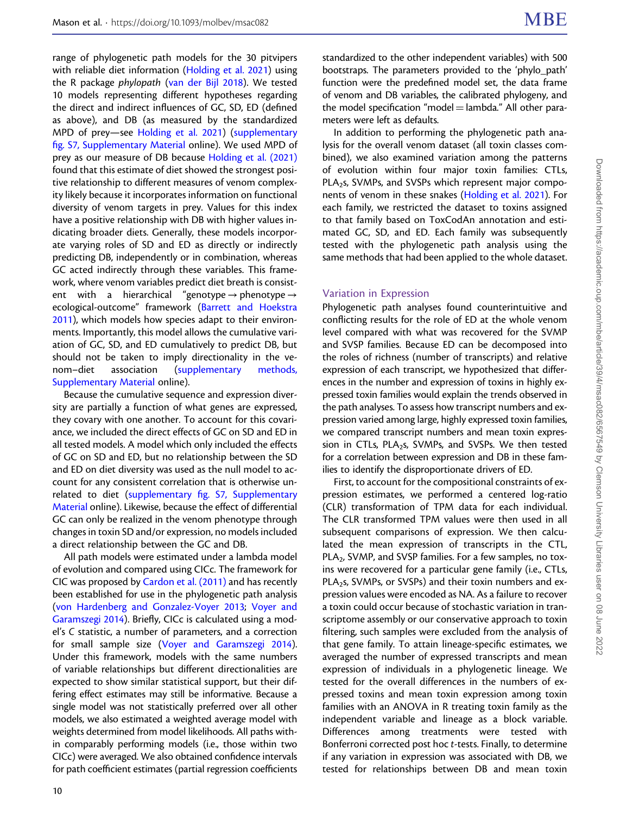range of phylogenetic path models for the 30 pitvipers with reliable diet information ([Holding et al. 2021](#page-11-0)) using the R package phylopath ([van der Bijl 2018\)](#page-12-0). We tested 10 models representing different hypotheses regarding the direct and indirect influences of GC, SD, ED (defined as above), and DB (as measured by the standardized MPD of prey—see [Holding et al. 2021\)](#page-11-0) ([supplementary](http://academic.oup.com/molbev/article-lookup/doi/10.1093/molbev/msac082#supplementary-data) fi[g. S7, Supplementary Material](http://academic.oup.com/molbev/article-lookup/doi/10.1093/molbev/msac082#supplementary-data) online). We used MPD of prey as our measure of DB because [Holding et al. \(2021\)](#page-11-0) found that this estimate of diet showed the strongest positive relationship to different measures of venom complexity likely because it incorporates information on functional diversity of venom targets in prey. Values for this index have a positive relationship with DB with higher values indicating broader diets. Generally, these models incorporate varying roles of SD and ED as directly or indirectly predicting DB, independently or in combination, whereas GC acted indirectly through these variables. This framework, where venom variables predict diet breath is consistent with a hierarchical "genotype  $\rightarrow$  phenotype  $\rightarrow$ ecological-outcome" framework [\(Barrett and Hoekstra](#page-11-0) [2011\)](#page-11-0), which models how species adapt to their environments. Importantly, this model allows the cumulative variation of GC, SD, and ED cumulatively to predict DB, but should not be taken to imply directionality in the venom–diet association ([supplementary methods,](http://academic.oup.com/molbev/article-lookup/doi/10.1093/molbev/msac082#supplementary-data) [Supplementary Material](http://academic.oup.com/molbev/article-lookup/doi/10.1093/molbev/msac082#supplementary-data) online).

Because the cumulative sequence and expression diversity are partially a function of what genes are expressed, they covary with one another. To account for this covariance, we included the direct effects of GC on SD and ED in all tested models. A model which only included the effects of GC on SD and ED, but no relationship between the SD and ED on diet diversity was used as the null model to account for any consistent correlation that is otherwise unrelated to diet (supplementary fi[g. S7, Supplementary](http://academic.oup.com/molbev/article-lookup/doi/10.1093/molbev/msac082#supplementary-data) [Material](http://academic.oup.com/molbev/article-lookup/doi/10.1093/molbev/msac082#supplementary-data) online). Likewise, because the effect of differential GC can only be realized in the venom phenotype through changes in toxin SD and/or expression, no models included a direct relationship between the GC and DB.

All path models were estimated under a lambda model of evolution and compared using CICc. The framework for CIC was proposed by [Cardon et al. \(2011\)](#page-11-0) and has recently been established for use in the phylogenetic path analysis ([von Hardenberg and Gonzalez-Voyer 2013;](#page-13-0) [Voyer and](#page-13-0) [Garamszegi 2014](#page-13-0)). Briefly, CICc is calculated using a model's C statistic, a number of parameters, and a correction for small sample size [\(Voyer and Garamszegi 2014](#page-13-0)). Under this framework, models with the same numbers of variable relationships but different directionalities are expected to show similar statistical support, but their differing effect estimates may still be informative. Because a single model was not statistically preferred over all other models, we also estimated a weighted average model with weights determined from model likelihoods. All paths within comparably performing models (i.e., those within two CICc) were averaged. We also obtained confidence intervals for path coefficient estimates (partial regression coefficients

standardized to the other independent variables) with 500 bootstraps. The parameters provided to the 'phylo\_path' function were the predefined model set, the data frame of venom and DB variables, the calibrated phylogeny, and the model specification "model  $=$  lambda." All other parameters were left as defaults.

In addition to performing the phylogenetic path analysis for the overall venom dataset (all toxin classes combined), we also examined variation among the patterns of evolution within four major toxin families: CTLs, PLA<sub>2</sub>s, SVMPs, and SVSPs which represent major components of venom in these snakes ([Holding et al. 2021](#page-11-0)). For each family, we restricted the dataset to toxins assigned to that family based on ToxCodAn annotation and estimated GC, SD, and ED. Each family was subsequently tested with the phylogenetic path analysis using the same methods that had been applied to the whole dataset.

#### Variation in Expression

Phylogenetic path analyses found counterintuitive and conflicting results for the role of ED at the whole venom level compared with what was recovered for the SVMP and SVSP families. Because ED can be decomposed into the roles of richness (number of transcripts) and relative expression of each transcript, we hypothesized that differences in the number and expression of toxins in highly expressed toxin families would explain the trends observed in the path analyses. To assess how transcript numbers and expression varied among large, highly expressed toxin families, we compared transcript numbers and mean toxin expression in CTLs, PLA<sub>2</sub>s, SVMPs, and SVSPs. We then tested for a correlation between expression and DB in these families to identify the disproportionate drivers of ED.

First, to account for the compositional constraints of expression estimates, we performed a centered log-ratio (CLR) transformation of TPM data for each individual. The CLR transformed TPM values were then used in all subsequent comparisons of expression. We then calculated the mean expression of transcripts in the CTL, PLA<sub>2</sub>, SVMP, and SVSP families. For a few samples, no toxins were recovered for a particular gene family (i.e., CTLs, PLA<sub>2</sub>s, SVMPs, or SVSPs) and their toxin numbers and expression values were encoded as NA. As a failure to recover a toxin could occur because of stochastic variation in transcriptome assembly or our conservative approach to toxin filtering, such samples were excluded from the analysis of that gene family. To attain lineage-specific estimates, we averaged the number of expressed transcripts and mean expression of individuals in a phylogenetic lineage. We tested for the overall differences in the numbers of expressed toxins and mean toxin expression among toxin families with an ANOVA in R treating toxin family as the independent variable and lineage as a block variable. Differences among treatments were tested with Bonferroni corrected post hoc t-tests. Finally, to determine if any variation in expression was associated with DB, we tested for relationships between DB and mean toxin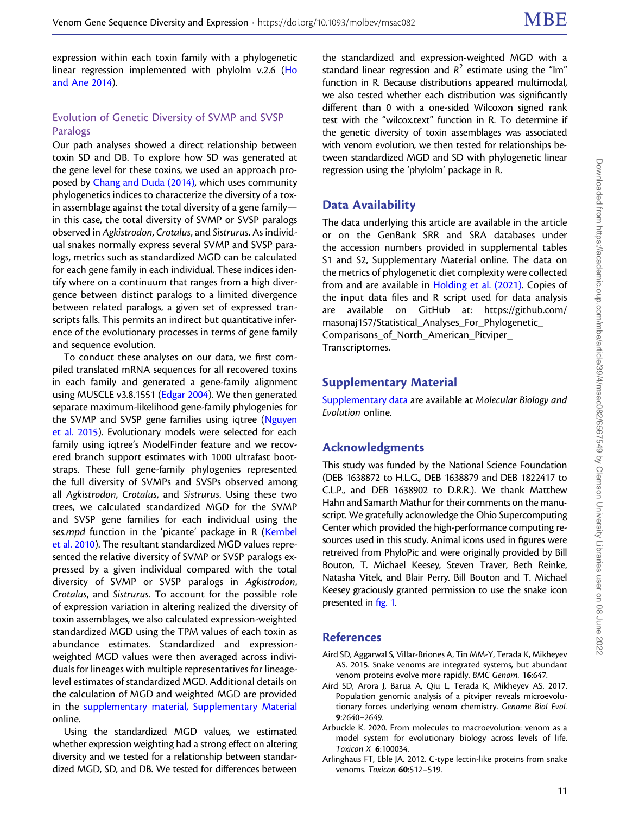<span id="page-10-0"></span>expression within each toxin family with a phylogenetic linear regression implemented with phylolm v.2.6 [\(Ho](#page-11-0) [and Ane 2014](#page-11-0)).

## Evolution of Genetic Diversity of SVMP and SVSP Paralogs

Our path analyses showed a direct relationship between toxin SD and DB. To explore how SD was generated at the gene level for these toxins, we used an approach proposed by [Chang and Duda \(2014\)](#page-11-0), which uses community phylogenetics indices to characterize the diversity of a toxin assemblage against the total diversity of a gene family in this case, the total diversity of SVMP or SVSP paralogs observed in Agkistrodon, Crotalus, and Sistrurus. As individual snakes normally express several SVMP and SVSP paralogs, metrics such as standardized MGD can be calculated for each gene family in each individual. These indices identify where on a continuum that ranges from a high divergence between distinct paralogs to a limited divergence between related paralogs, a given set of expressed transcripts falls. This permits an indirect but quantitative inference of the evolutionary processes in terms of gene family and sequence evolution.

To conduct these analyses on our data, we first compiled translated mRNA sequences for all recovered toxins in each family and generated a gene-family alignment using MUSCLE v3.8.1551 [\(Edgar 2004\)](#page-11-0). We then generated separate maximum-likelihood gene-family phylogenies for the SVMP and SVSP gene families using iqtree [\(Nguyen](#page-12-0) [et al. 2015](#page-12-0)). Evolutionary models were selected for each family using iqtree's ModelFinder feature and we recovered branch support estimates with 1000 ultrafast bootstraps. These full gene-family phylogenies represented the full diversity of SVMPs and SVSPs observed among all Agkistrodon, Crotalus, and Sistrurus. Using these two trees, we calculated standardized MGD for the SVMP and SVSP gene families for each individual using the ses.mpd function in the 'picante' package in R ([Kembel](#page-11-0) [et al. 2010](#page-11-0)). The resultant standardized MGD values represented the relative diversity of SVMP or SVSP paralogs expressed by a given individual compared with the total diversity of SVMP or SVSP paralogs in Agkistrodon, Crotalus, and Sistrurus. To account for the possible role of expression variation in altering realized the diversity of toxin assemblages, we also calculated expression-weighted standardized MGD using the TPM values of each toxin as abundance estimates. Standardized and expressionweighted MGD values were then averaged across individuals for lineages with multiple representatives for lineagelevel estimates of standardized MGD. Additional details on the calculation of MGD and weighted MGD are provided in the [supplementary material, Supplementary Material](http://academic.oup.com/molbev/article-lookup/doi/10.1093/molbev/msac082#supplementary-data) online.

Using the standardized MGD values, we estimated whether expression weighting had a strong effect on altering diversity and we tested for a relationship between standardized MGD, SD, and DB. We tested for differences between

the standardized and expression-weighted MGD with a standard linear regression and  $R^2$  estimate using the "lm" function in R. Because distributions appeared multimodal, we also tested whether each distribution was significantly different than 0 with a one-sided Wilcoxon signed rank test with the "wilcox.text" function in R. To determine if the genetic diversity of toxin assemblages was associated with venom evolution, we then tested for relationships between standardized MGD and SD with phylogenetic linear regression using the 'phylolm' package in R.

# Data Availability

The data underlying this article are available in the article or on the GenBank SRR and SRA databases under the accession numbers provided in supplemental tables S1 and S2, Supplementary Material online. The data on the metrics of phylogenetic diet complexity were collected from and are available in [Holding et al. \(2021\)](#page-11-0). Copies of the input data files and R script used for data analysis are available on GitHub at: [https://github.com/](https://github.com/masonaj157/Statistical_Analyses_For_Phylogenetic_Comparisons_of_North_American_Pitviper_Transcriptomes) [masonaj157/Statistical\\_Analyses\\_For\\_Phylogenetic\\_](https://github.com/masonaj157/Statistical_Analyses_For_Phylogenetic_Comparisons_of_North_American_Pitviper_Transcriptomes) [Comparisons\\_of\\_North\\_American\\_Pitviper\\_](https://github.com/masonaj157/Statistical_Analyses_For_Phylogenetic_Comparisons_of_North_American_Pitviper_Transcriptomes) [Transcriptomes](https://github.com/masonaj157/Statistical_Analyses_For_Phylogenetic_Comparisons_of_North_American_Pitviper_Transcriptomes).

## Supplementary Material

[Supplementary data](http://academic.oup.com/molbev/article-lookup/doi/10.1093/molbev/msac082#supplementary-data) are available at Molecular Biology and Evolution online.

# Acknowledgments

This study was funded by the National Science Foundation (DEB 1638872 to H.L.G., DEB 1638879 and DEB 1822417 to C.L.P., and DEB 1638902 to D.R.R.). We thank Matthew Hahn and Samarth Mathur for their comments on the manuscript. We gratefully acknowledge the Ohio Supercomputing Center which provided the high-performance computing resources used in this study. Animal icons used in figures were retreived from PhyloPic and were originally provided by Bill Bouton, T. Michael Keesey, Steven Traver, Beth Reinke, Natasha Vitek, and Blair Perry. Bill Bouton and T. Michael Keesey graciously granted permission to use the snake icon presented in fi[g. 1](#page-3-0).

### References

- Aird SD, Aggarwal S, Villar-Briones A, Tin MM-Y, Terada K, Mikheyev AS. 2015. Snake venoms are integrated systems, but abundant venom proteins evolve more rapidly. BMC Genom. 16:647.
- Aird SD, Arora J, Barua A, Qiu L, Terada K, Mikheyev AS. 2017. Population genomic analysis of a pitviper reveals microevolutionary forces underlying venom chemistry. Genome Biol Evol. 9:2640–2649.
- Arbuckle K. 2020. From molecules to macroevolution: venom as a model system for evolutionary biology across levels of life. Toxicon X 6:100034.
- Arlinghaus FT, Eble JA. 2012. C-type lectin-like proteins from snake venoms. Toxicon 60:512-519.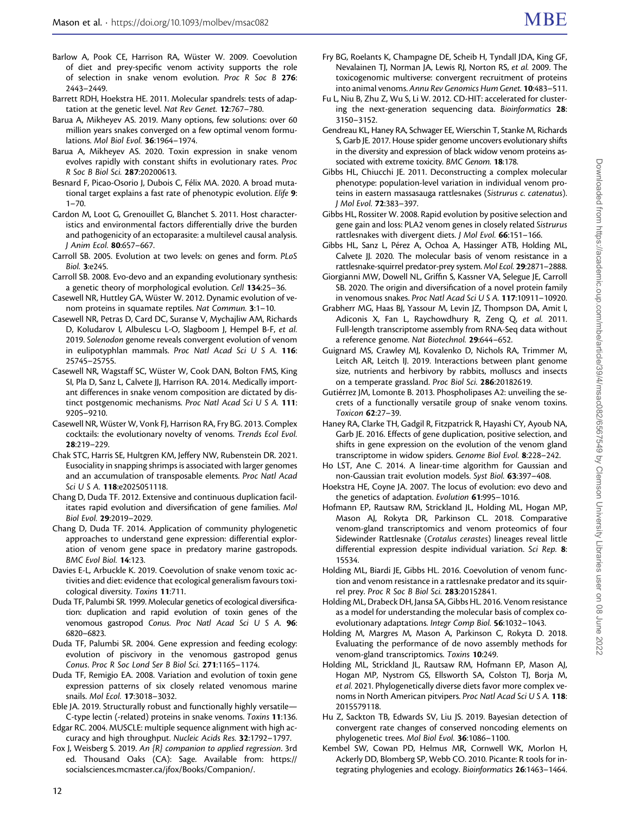- <span id="page-11-0"></span>Barlow A, Pook CE, Harrison RA, Wüster W. 2009. Coevolution of diet and prey-specific venom activity supports the role of selection in snake venom evolution. Proc R Soc B 276: 2443–2449.
- Barrett RDH, Hoekstra HE. 2011. Molecular spandrels: tests of adaptation at the genetic level. Nat Rev Genet. 12:767–780.
- Barua A, Mikheyev AS. 2019. Many options, few solutions: over 60 million years snakes converged on a few optimal venom formulations. Mol Biol Evol. 36:1964–1974.
- Barua A, Mikheyev AS. 2020. Toxin expression in snake venom evolves rapidly with constant shifts in evolutionary rates. Proc R Soc B Biol Sci. 287:20200613.
- Besnard F, Picao-Osorio J, Dubois C, Félix MA. 2020. A broad mutational target explains a fast rate of phenotypic evolution. Elife 9:  $1 - 70$
- Cardon M, Loot G, Grenouillet G, Blanchet S. 2011. Host characteristics and environmental factors differentially drive the burden and pathogenicity of an ectoparasite: a multilevel causal analysis. J Anim Ecol. 80:657–667.
- Carroll SB. 2005. Evolution at two levels: on genes and form. PLoS Biol. 3:e245.
- Carroll SB. 2008. Evo-devo and an expanding evolutionary synthesis: a genetic theory of morphological evolution. Cell 134:25–36.
- Casewell NR, Huttley GA, Wüster W. 2012. Dynamic evolution of venom proteins in squamate reptiles. Nat Commun. 3:1-10.
- Casewell NR, Petras D, Card DC, Suranse V, Mychajliw AM, Richards D, Koludarov I, Albulescu L-O, Slagboom J, Hempel B-F, et al. 2019. Solenodon genome reveals convergent evolution of venom in eulipotyphlan mammals. Proc Natl Acad Sci U S A. 116: 25745–25755.
- Casewell NR, Wagstaff SC, Wüster W, Cook DAN, Bolton FMS, King SI, Pla D, Sanz L, Calvete JJ, Harrison RA. 2014. Medically important differences in snake venom composition are dictated by distinct postgenomic mechanisms. Proc Natl Acad Sci U S A. 111: 9205–9210.
- Casewell NR, Wüster W, Vonk FJ, Harrison RA, Fry BG. 2013. Complex cocktails: the evolutionary novelty of venoms. Trends Ecol Evol. 28:219–229.
- Chak STC, Harris SE, Hultgren KM, Jeffery NW, Rubenstein DR. 2021. Eusociality in snapping shrimps is associated with larger genomes and an accumulation of transposable elements. Proc Natl Acad Sci U S A. 118:e2025051118.
- Chang D, Duda TF. 2012. Extensive and continuous duplication facilitates rapid evolution and diversification of gene families. Mol Biol Evol. 29:2019–2029.
- Chang D, Duda TF. 2014. Application of community phylogenetic approaches to understand gene expression: differential exploration of venom gene space in predatory marine gastropods. BMC Evol Biol. 14:123.
- Davies E-L, Arbuckle K. 2019. Coevolution of snake venom toxic activities and diet: evidence that ecological generalism favours toxicological diversity. Toxins 11:711.
- Duda TF, Palumbi SR. 1999. Molecular genetics of ecological diversification: duplication and rapid evolution of toxin genes of the venomous gastropod Conus. Proc Natl Acad Sci U S A. 96: 6820–6823.
- Duda TF, Palumbi SR. 2004. Gene expression and feeding ecology: evolution of piscivory in the venomous gastropod genus Conus. Proc R Soc Lond Ser B Biol Sci. 271:1165–1174.
- Duda TF, Remigio EA. 2008. Variation and evolution of toxin gene expression patterns of six closely related venomous marine snails. Mol Ecol. 17:3018–3032.
- Eble JA. 2019. Structurally robust and functionally highly versatile— C-type lectin (-related) proteins in snake venoms. Toxins 11:136.
- Edgar RC. 2004. MUSCLE: multiple sequence alignment with high accuracy and high throughput. Nucleic Acids Res. 32:1792–1797.
- Fox J, Weisberg S. 2019. An {R} companion to applied regression. 3rd ed. Thousand Oaks (CA): Sage. Available from: [https://](https://socialsciences.mcmaster.ca/jfox/Books/Companion/) [socialsciences.mcmaster.ca/jfox/Books/Companion/](https://socialsciences.mcmaster.ca/jfox/Books/Companion/).
- Fry BG, Roelants K, Champagne DE, Scheib H, Tyndall JDA, King GF, Nevalainen TJ, Norman JA, Lewis RJ, Norton RS, et al. 2009. The toxicogenomic multiverse: convergent recruitment of proteins into animal venoms. Annu Rev Genomics Hum Genet. 10:483–511.
- Fu L, Niu B, Zhu Z, Wu S, Li W. 2012. CD-HIT: accelerated for clustering the next-generation sequencing data. Bioinformatics 28: 3150–3152.
- Gendreau KL, Haney RA, Schwager EE, Wierschin T, Stanke M, Richards S, Garb JE. 2017. House spider genome uncovers evolutionary shifts in the diversity and expression of black widow venom proteins associated with extreme toxicity. BMC Genom. 18:178.
- Gibbs HL, Chiucchi JE. 2011. Deconstructing a complex molecular phenotype: population-level variation in individual venom proteins in eastern massasauga rattlesnakes (Sistrurus c. catenatus). J Mol Evol. 72:383–397.
- Gibbs HL, Rossiter W. 2008. Rapid evolution by positive selection and gene gain and loss: PLA2 venom genes in closely related Sistrurus rattlesnakes with divergent diets. J Mol Evol. 66:151–166.
- Gibbs HL, Sanz L, Pérez A, Ochoa A, Hassinger ATB, Holding ML, Calvete JJ. 2020. The molecular basis of venom resistance in a rattlesnake-squirrel predator-prey system. Mol Ecol. 29:2871–2888.
- Giorgianni MW, Dowell NL, Griffin S, Kassner VA, Selegue JE, Carroll SB. 2020. The origin and diversification of a novel protein family in venomous snakes. Proc Natl Acad Sci U S A. 117:10911–10920.
- Grabherr MG, Haas BJ, Yassour M, Levin JZ, Thompson DA, Amit I, Adiconis X, Fan L, Raychowdhury R, Zeng Q, et al. 2011. Full-length transcriptome assembly from RNA-Seq data without a reference genome. Nat Biotechnol. 29:644–652.
- Guignard MS, Crawley MJ, Kovalenko D, Nichols RA, Trimmer M, Leitch AR, Leitch IJ. 2019. Interactions between plant genome size, nutrients and herbivory by rabbits, molluscs and insects on a temperate grassland. Proc Biol Sci. 286:20182619.
- Gutiérrez JM, Lomonte B. 2013. Phospholipases A2: unveiling the secrets of a functionally versatile group of snake venom toxins. Toxicon 62:27–39.
- Haney RA, Clarke TH, Gadgil R, Fitzpatrick R, Hayashi CY, Ayoub NA, Garb JE. 2016. Effects of gene duplication, positive selection, and shifts in gene expression on the evolution of the venom gland transcriptome in widow spiders. Genome Biol Evol. 8:228–242.
- Ho LST, Ane C. 2014. A linear-time algorithm for Gaussian and non-Gaussian trait evolution models. Syst Biol. 63:397–408.
- Hoekstra HE, Coyne JA. 2007. The locus of evolution: evo devo and the genetics of adaptation. Evolution 61:995–1016.
- Hofmann EP, Rautsaw RM, Strickland JL, Holding ML, Hogan MP, Mason AJ, Rokyta DR, Parkinson CL. 2018. Comparative venom-gland transcriptomics and venom proteomics of four Sidewinder Rattlesnake (Crotalus cerastes) lineages reveal little differential expression despite individual variation. Sci Rep. 8: 15534.
- Holding ML, Biardi JE, Gibbs HL. 2016. Coevolution of venom function and venom resistance in a rattlesnake predator and its squirrel prey. Proc R Soc B Biol Sci. 283:20152841.
- Holding ML, Drabeck DH, Jansa SA, Gibbs HL. 2016. Venom resistance as a model for understanding the molecular basis of complex coevolutionary adaptations. Integr Comp Biol. 56:1032–1043.
- Holding M, Margres M, Mason A, Parkinson C, Rokyta D. 2018. Evaluating the performance of de novo assembly methods for venom-gland transcriptomics. Toxins 10:249.
- Holding ML, Strickland JL, Rautsaw RM, Hofmann EP, Mason AJ, Hogan MP, Nystrom GS, Ellsworth SA, Colston TJ, Borja M, et al. 2021. Phylogenetically diverse diets favor more complex venoms in North American pitvipers. Proc Natl Acad Sci U S A. 118: 2015579118.
- Hu Z, Sackton TB, Edwards SV, Liu JS. 2019. Bayesian detection of convergent rate changes of conserved noncoding elements on phylogenetic trees. Mol Biol Evol. 36:1086–1100.
- Kembel SW, Cowan PD, Helmus MR, Cornwell WK, Morlon H, Ackerly DD, Blomberg SP, Webb CO. 2010. Picante: R tools for integrating phylogenies and ecology. Bioinformatics 26:1463–1464.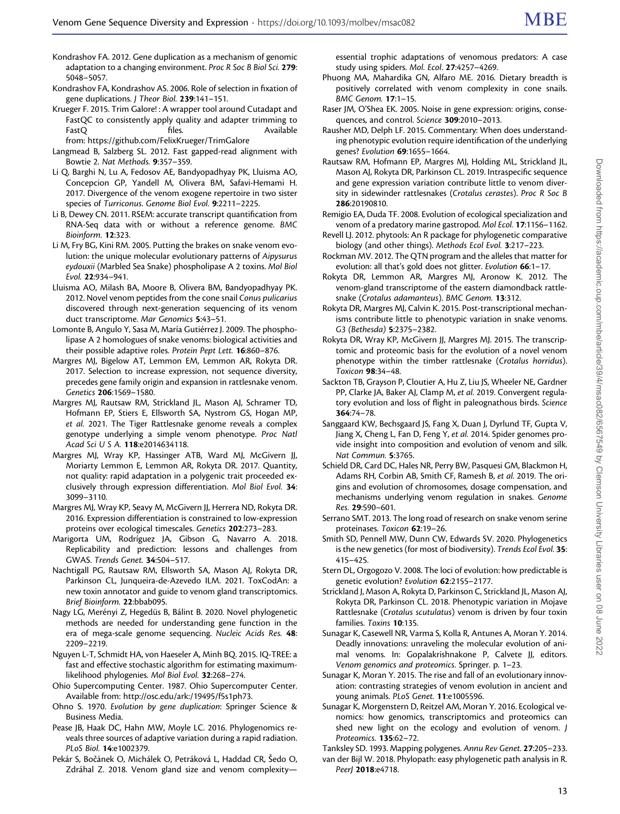<span id="page-12-0"></span>Kondrashov FA. 2012. Gene duplication as a mechanism of genomic adaptation to a changing environment. Proc R Soc B Biol Sci. 279: 5048–5057.

- Kondrashov FA, Kondrashov AS. 2006. Role of selection in fixation of gene duplications. J Theor Biol. 239:141–151.
- Krueger F. 2015. Trim Galore! : A wrapper tool around Cutadapt and FastQC to consistently apply quality and adapter trimming to FastQ files. 6. Available from: https://github.com/FelixKrueger/TrimGalore
- Langmead B, Salzberg SL. 2012. Fast gapped-read alignment with Bowtie 2. Nat Methods. 9:357–359.
- Li Q, Barghi N, Lu A, Fedosov AE, Bandyopadhyay PK, Lluisma AO, Concepcion GP, Yandell M, Olivera BM, Safavi-Hemami H. 2017. Divergence of the venom exogene repertoire in two sister species of Turriconus. Genome Biol Evol. 9:2211–2225.
- Li B, Dewey CN. 2011. RSEM: accurate transcript quantification from RNA-Seq data with or without a reference genome. BMC Bioinform. 12:323.
- Li M, Fry BG, Kini RM. 2005. Putting the brakes on snake venom evolution: the unique molecular evolutionary patterns of Aipysurus eydouxii (Marbled Sea Snake) phospholipase A 2 toxins. Mol Biol Evol. 22:934–941.
- Lluisma AO, Milash BA, Moore B, Olivera BM, Bandyopadhyay PK. 2012. Novel venom peptides from the cone snail Conus pulicarius discovered through next-generation sequencing of its venom duct transcriptome. Mar Genomics 5:43–51.
- Lomonte B, Angulo Y, Sasa M, María Gutiérrez J. 2009. The phospholipase A 2 homologues of snake venoms: biological activities and their possible adaptive roles. Protein Pept Lett. 16:860-876.
- Margres MJ, Bigelow AT, Lemmon EM, Lemmon AR, Rokyta DR. 2017. Selection to increase expression, not sequence diversity, precedes gene family origin and expansion in rattlesnake venom. Genetics 206:1569–1580.
- Margres MJ, Rautsaw RM, Strickland JL, Mason AJ, Schramer TD, Hofmann EP, Stiers E, Ellsworth SA, Nystrom GS, Hogan MP, et al. 2021. The Tiger Rattlesnake genome reveals a complex genotype underlying a simple venom phenotype. Proc Natl Acad Sci U S A. 118:e2014634118.
- Margres MJ, Wray KP, Hassinger ATB, Ward MJ, McGivern JJ, Moriarty Lemmon E, Lemmon AR, Rokyta DR. 2017. Quantity, not quality: rapid adaptation in a polygenic trait proceeded exclusively through expression differentiation. Mol Biol Evol. 34: 3099–3110.
- Margres MJ, Wray KP, Seavy M, McGivern JJ, Herrera ND, Rokyta DR. 2016. Expression differentiation is constrained to low-expression proteins over ecological timescales. Genetics 202:273–283.
- Marigorta UM, Rodríguez JA, Gibson G, Navarro A. 2018. Replicability and prediction: lessons and challenges from GWAS. Trends Genet. 34:504–517.
- Nachtigall PG, Rautsaw RM, Ellsworth SA, Mason AJ, Rokyta DR, Parkinson CL, Junqueira-de-Azevedo ILM. 2021. ToxCodAn: a new toxin annotator and guide to venom gland transcriptomics. Brief Bioinform. 22:bbab095.
- Nagy LG, Merényi Z, Hegedüs B, Bálint B. 2020. Novel phylogenetic methods are needed for understanding gene function in the era of mega-scale genome sequencing. Nucleic Acids Res. 48: 2209–2219.
- Nguyen L-T, Schmidt HA, von Haeseler A, Minh BQ. 2015. IQ-TREE: a fast and effective stochastic algorithm for estimating maximumlikelihood phylogenies. Mol Biol Evol. 32:268–274.
- Ohio Supercomputing Center. 1987. Ohio Supercomputer Center. Available from:<http://osc.edu/ark:/19495/f5s1ph73>.
- Ohno S. 1970. Evolution by gene duplication: Springer Science & Business Media.
- Pease JB, Haak DC, Hahn MW, Moyle LC. 2016. Phylogenomics reveals three sources of adaptive variation during a rapid radiation. PLoS Biol. 14:e1002379.
- Pekár S, Bočánek O, Michálek O, Petráková L, Haddad CR, Šedo O, Zdráhal Z. 2018. Venom gland size and venom complexity—

essential trophic adaptations of venomous predators: A case study using spiders. Mol. Ecol. 27:4257–4269.

- Phuong MA, Mahardika GN, Alfaro ME. 2016. Dietary breadth is positively correlated with venom complexity in cone snails. BMC Genom. 17:1–15.
- Raser JM, O'Shea EK. 2005. Noise in gene expression: origins, consequences, and control. Science 309:2010–2013.
- Rausher MD, Delph LF. 2015. Commentary: When does understanding phenotypic evolution require identification of the underlying genes? Evolution 69:1655–1664.
- Rautsaw RM, Hofmann EP, Margres MJ, Holding ML, Strickland JL, Mason AJ, Rokyta DR, Parkinson CL. 2019. Intraspecific sequence and gene expression variation contribute little to venom diversity in sidewinder rattlesnakes (Crotalus cerastes). Proc R Soc B 286:20190810.
- Remigio EA, Duda TF. 2008. Evolution of ecological specialization and venom of a predatory marine gastropod. Mol Ecol. 17:1156–1162.
- Revell LJ. 2012. phytools: An R package for phylogenetic comparative biology (and other things). Methods Ecol Evol. 3:217–223.
- Rockman MV. 2012. The QTN program and the alleles that matter for evolution: all that's gold does not glitter. Evolution 66:1-17.
- Rokyta DR, Lemmon AR, Margres MJ, Aronow K. 2012. The venom-gland transcriptome of the eastern diamondback rattlesnake (Crotalus adamanteus). BMC Genom. 13:312.
- Rokyta DR, Margres MJ, Calvin K. 2015. Post-transcriptional mechanisms contribute little to phenotypic variation in snake venoms. G3 (Bethesda) 5:2375–2382.
- Rokyta DR, Wray KP, McGivern JJ, Margres MJ. 2015. The transcriptomic and proteomic basis for the evolution of a novel venom phenotype within the timber rattlesnake (Crotalus horridus). Toxicon 98:34–48.
- Sackton TB, Grayson P, Cloutier A, Hu Z, Liu JS, Wheeler NE, Gardner PP, Clarke JA, Baker AJ, Clamp M, et al. 2019. Convergent regulatory evolution and loss of flight in paleognathous birds. Science 364:74–78.
- Sanggaard KW, Bechsgaard JS, Fang X, Duan J, Dyrlund TF, Gupta V, Jiang X, Cheng L, Fan D, Feng Y, et al. 2014. Spider genomes provide insight into composition and evolution of venom and silk. Nat Commun. 5:3765.
- Schield DR, Card DC, Hales NR, Perry BW, Pasquesi GM, Blackmon H, Adams RH, Corbin AB, Smith CF, Ramesh B, et al. 2019. The origins and evolution of chromosomes, dosage compensation, and mechanisms underlying venom regulation in snakes. Genome Res. 29:590–601.
- Serrano SMT. 2013. The long road of research on snake venom serine proteinases. Toxicon 62:19–26.
- Smith SD, Pennell MW, Dunn CW, Edwards SV. 2020. Phylogenetics is the new genetics (for most of biodiversity). Trends Ecol Evol. 35: 415–425.
- Stern DL, Orgogozo V. 2008. The loci of evolution: how predictable is genetic evolution? Evolution 62:2155-2177.
- Strickland J, Mason A, Rokyta D, Parkinson C, Strickland JL, Mason AJ, Rokyta DR, Parkinson CL. 2018. Phenotypic variation in Mojave Rattlesnake (Crotalus scutulatus) venom is driven by four toxin families. Toxins 10:135.
- Sunagar K, Casewell NR, Varma S, Kolla R, Antunes A, Moran Y. 2014. Deadly innovations: unraveling the molecular evolution of animal venoms. In: Gopalakrishnakone P, Calvete JJ, editors. Venom genomics and proteomics. Springer. p. 1–23.
- Sunagar K, Moran Y. 2015. The rise and fall of an evolutionary innovation: contrasting strategies of venom evolution in ancient and young animals. PLoS Genet. 11:e1005596.
- Sunagar K, Morgenstern D, Reitzel AM, Moran Y. 2016. Ecological venomics: how genomics, transcriptomics and proteomics can shed new light on the ecology and evolution of venom. J Proteomics. 135:62–72.

Tanksley SD. 1993. Mapping polygenes. Annu Rev Genet. 27:205–233. van der Bijl W. 2018. Phylopath: easy phylogenetic path analysis in R.

Peer| 2018:e4718.